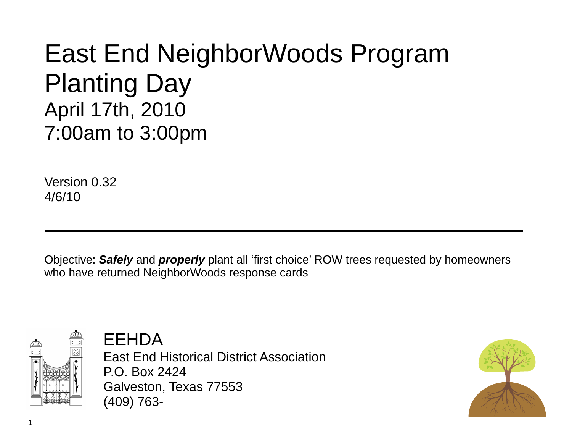## East End NeighborWoods Program Planting Day April 17th, 2010 7:00am to 3:00pm

Version 0.32 4/6/10

Objective: *Safely* and *properly* plant all 'first choice' ROW trees requested by homeowners who have returned NeighborWoods response cards



EEHDA

East End Historical District Association P.O. Box 2424 Galveston, Texas 77553 (409) 763-

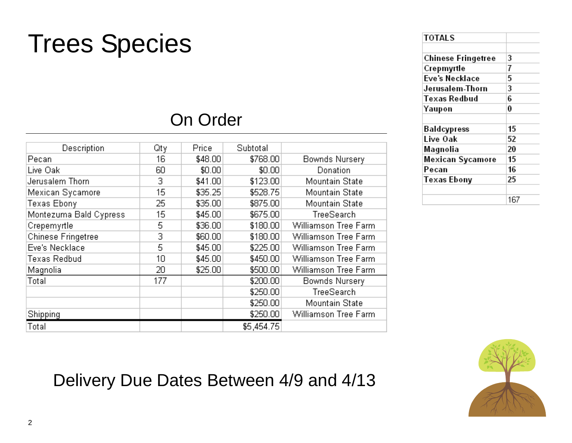## Trees Species

### On Order

| Description            | Qtγ | <b>Price</b> | Subtotal   |                      |
|------------------------|-----|--------------|------------|----------------------|
| Pecan                  | 16  | \$48.00      | \$768.00   | Bownds Nursery       |
| Live Oak               | 60  | \$0.00       | \$0.00     | Donation             |
| Jerusalem Thorn        | 3   | \$41.00      | \$123.00   | Mountain State       |
| Mexican Sycamore       | 15  | \$35.25      | \$528.75   | Mountain State       |
| Texas Ebony            | 25  | \$35.00      | \$875.00   | Mountain State       |
| Montezuma Bald Cypress | 15  | \$45.00      | \$675.00   | TreeSearch           |
| Crepemyrtle            | 5   | \$36.00      | \$180.00   | Williamson Tree Farm |
| Chinese Fringetree     | 3   | \$60.00      | \$180.00   | Williamson Tree Farm |
| Eve's Necklace         | 5   | \$45.00      | \$225.00   | Williamson Tree Farm |
| Texas Redbud           | 10  | \$45.00      | \$450.00   | Williamson Tree Farm |
| Magnolia               | 20  | \$25.00      | \$500.00   | Williamson Tree Farm |
| Total                  | 177 |              | \$200.00   | Bownds Nursery       |
|                        |     |              | \$250.00   | TreeSearch           |
|                        |     |              | \$250.00   | Mountain State       |
| <b>Shipping</b>        |     |              | \$250.00   | Williamson Tree Farm |
| Total                  |     |              | \$5,454.75 |                      |

| <b>TOTALS</b>             |     |
|---------------------------|-----|
|                           |     |
| <b>Chinese Fringetree</b> | 3   |
| Crepmyrtle                | 7   |
| Eve's Necklace            | 5   |
| Jerusalem-Thorn           | 3   |
| Texas Redbud              | 6   |
| Yaupon                    | 0   |
| Baldcypress               | 15  |
|                           |     |
| Live Oak                  | 52  |
| Magnolia                  | 20  |
| Mexican Sycamore          | 15  |
| Pecan                     | 16  |
| Texas Ebony               | 25  |
|                           |     |
|                           | 167 |



### Delivery Due Dates Between 4/9 and 4/13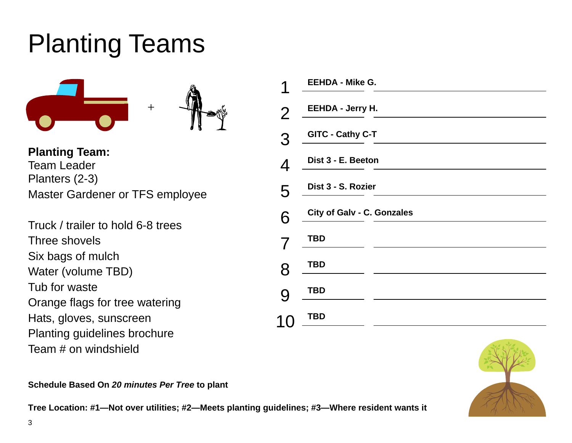# Planting Teams



**Planting Team:**  Team Leader Planters (2-3) Master Gardener or TFS employee

Truck / trailer to hold 6-8 trees Three shovels Six bags of mulch Water (volume TBD) Tub for waste Orange flags for tree watering Hats, gloves, sunscreen Planting guidelines brochure Team # on windshield

|                | <b>EEHDA - Mike G.</b>     |
|----------------|----------------------------|
| $\overline{2}$ | <b>EEHDA - Jerry H.</b>    |
| 3              | GITC - Cathy C-T           |
| 4              | Dist 3 - E. Beeton         |
| 5              | Dist 3 - S. Rozier         |
| 6              | City of Galv - C. Gonzales |
|                | TBD                        |
| 8              | TBD                        |
| 9              | <b>TBD</b>                 |
|                | <b>TBD</b>                 |
|                |                            |



**Schedule Based On** *20 minutes Per Tree* **to plant** 

**Tree Location: #1—Not over utilities; #2—Meets planting guidelines; #3—Where resident wants it**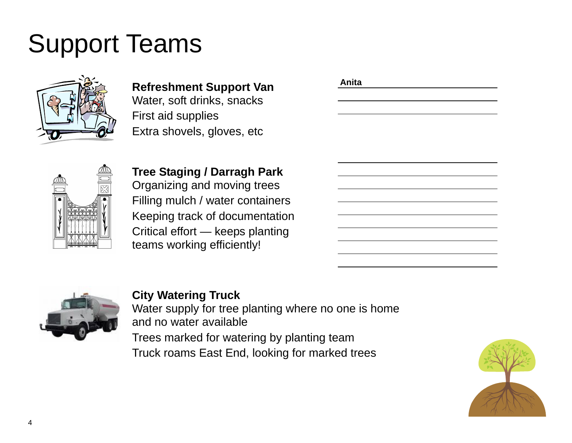# Support Teams



**Refreshment Support Van**  Water, soft drinks, snacks First aid supplies Extra shovels, gloves, etc

| Anita |  |  |
|-------|--|--|
|       |  |  |
|       |  |  |
|       |  |  |
|       |  |  |
|       |  |  |
|       |  |  |
|       |  |  |
|       |  |  |
|       |  |  |
|       |  |  |
|       |  |  |
|       |  |  |
|       |  |  |
|       |  |  |



**Tree Staging / Darragh Park**  Organizing and moving trees Filling mulch / water containers Keeping track of documentation Critical effort — keeps planting teams working efficiently!



#### **City Watering Truck**

Water supply for tree planting where no one is home and no water available

Trees marked for watering by planting team Truck roams East End, looking for marked trees

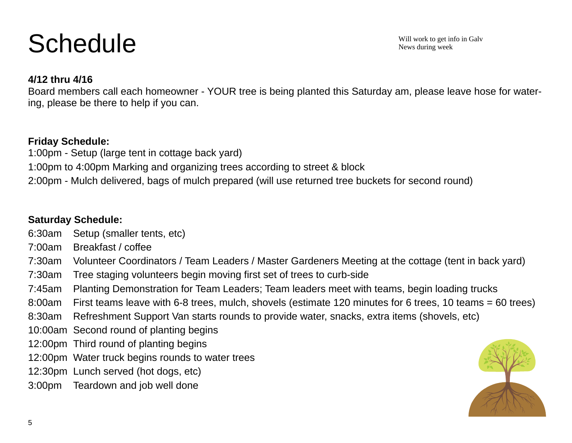# **Schedule**

Will work to get info in Galv News during week

#### **4/12 thru 4/16**

Board members call each homeowner - YOUR tree is being planted this Saturday am, please leave hose for watering, please be there to help if you can.

#### **Friday Schedule:**

1:00pm - Setup (large tent in cottage back yard) 1:00pm to 4:00pm Marking and organizing trees according to street & block 2:00pm - Mulch delivered, bags of mulch prepared (will use returned tree buckets for second round)

#### **Saturday Schedule:**

- 6:30am Setup (smaller tents, etc)
- 7:00am Breakfast / coffee
- 7:30am Volunteer Coordinators / Team Leaders / Master Gardeners Meeting at the cottage (tent in back yard)
- 7:30am Tree staging volunteers begin moving first set of trees to curb-side
- 7:45am Planting Demonstration for Team Leaders; Team leaders meet with teams, begin loading trucks
- 8:00am First teams leave with 6-8 trees, mulch, shovels (estimate 120 minutes for 6 trees, 10 teams = 60 trees)
- 8:30am Refreshment Support Van starts rounds to provide water, snacks, extra items (shovels, etc)
- 10:00am Second round of planting begins
- 12:00pm Third round of planting begins
- 12:00pm Water truck begins rounds to water trees
- 12:30pm Lunch served (hot dogs, etc)
- 3:00pm Teardown and job well done

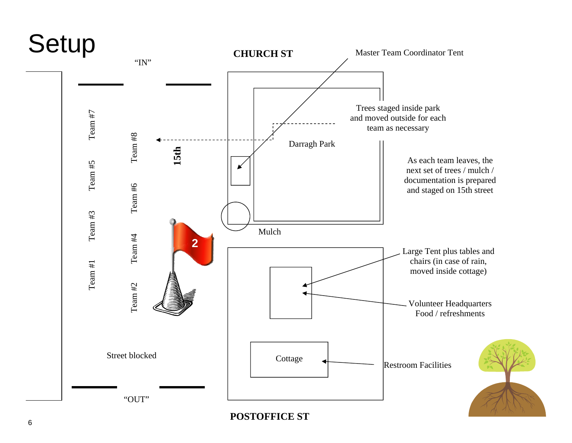

**POSTOFFICE ST**